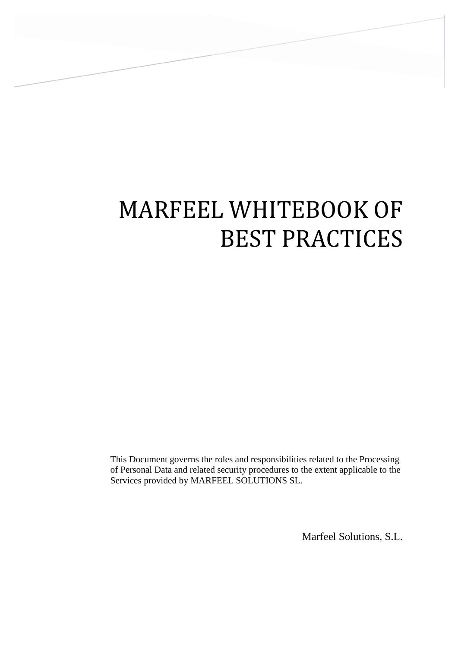# MARFEEL WHITEBOOK OF BEST PRACTICES

This Document governs the roles and responsibilities related to the Processing of Personal Data and related security procedures to the extent applicable to the Services provided by MARFEEL SOLUTIONS SL.

Marfeel Solutions, S.L.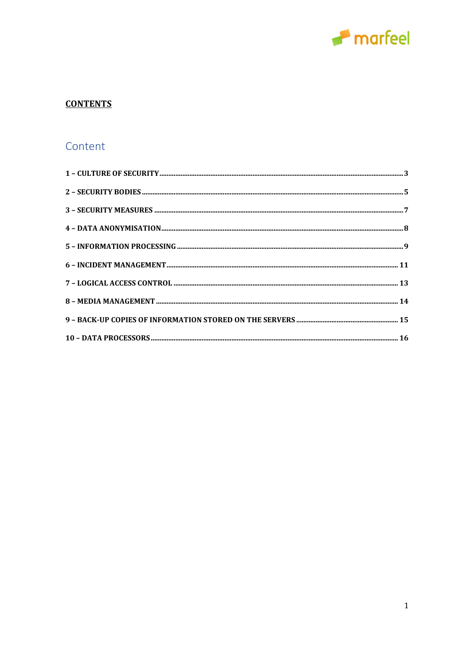

# **CONTENTS**

# Content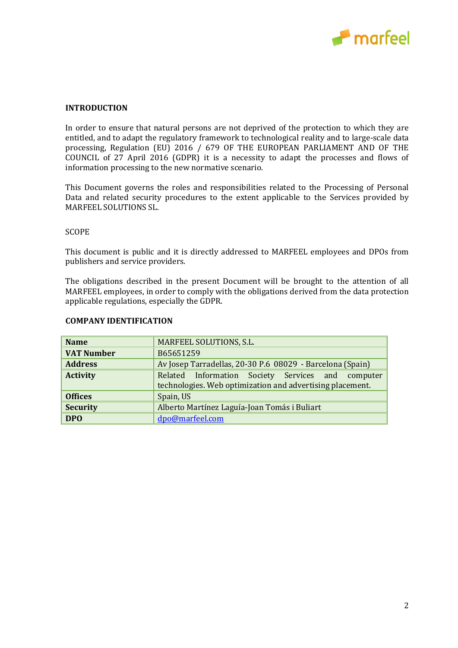

#### **INTRODUCTION**

In order to ensure that natural persons are not deprived of the protection to which they are entitled, and to adapt the regulatory framework to technological reality and to large-scale data processing, Regulation (EU) 2016 / 679 OF THE EUROPEAN PARLIAMENT AND OF THE COUNCIL of 27 April 2016 (GDPR) it is a necessity to adapt the processes and flows of information processing to the new normative scenario.

This Document governs the roles and responsibilities related to the Processing of Personal Data and related security procedures to the extent applicable to the Services provided by MARFEEL SOLUTIONS SL.

#### SCOPE

This document is public and it is directly addressed to MARFEEL employees and DPOs from publishers and service providers.

The obligations described in the present Document will be brought to the attention of all MARFEEL employees, in order to comply with the obligations derived from the data protection applicable regulations, especially the GDPR.

| <b>Name</b>       | MARFEEL SOLUTIONS, S.L.                                                                                        |  |
|-------------------|----------------------------------------------------------------------------------------------------------------|--|
| <b>VAT Number</b> | B65651259                                                                                                      |  |
| <b>Address</b>    | Av Josep Tarradellas, 20-30 P.6 08029 - Barcelona (Spain)                                                      |  |
| <b>Activity</b>   | Related Information Society Services and computer<br>technologies. Web optimization and advertising placement. |  |
| <b>Offices</b>    | Spain, US                                                                                                      |  |
| <b>Security</b>   | Alberto Martínez Laguía-Joan Tomás i Buliart                                                                   |  |
| <b>DPO</b>        | dpo@marfeel.com                                                                                                |  |

#### **COMPANY IDENTIFICATION**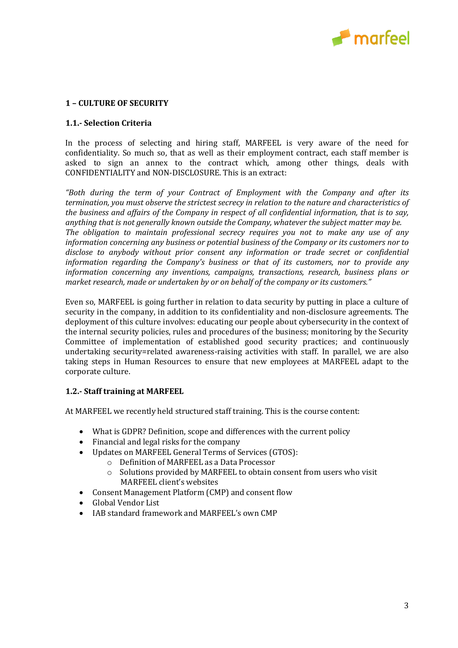

#### <span id="page-3-0"></span>**1 – CULTURE OF SECURITY**

#### **1.1.- Selection Criteria**

In the process of selecting and hiring staff, MARFEEL is very aware of the need for confidentiality. So much so, that as well as their employment contract, each staff member is asked to sign an annex to the contract which, among other things, deals with CONFIDENTIALITY and NON-DISCLOSURE. This is an extract:

*"Both during the term of your Contract of Employment with the Company and after its termination, you must observe the strictest secrecy in relation to the nature and characteristics of the business and affairs of the Company in respect of all confidential information, that is to say, anything that is not generally known outside the Company, whatever the subject matter may be. The obligation to maintain professional secrecy requires you not to make any use of any information concerning any business or potential business of the Company or its customers nor to disclose to anybody without prior consent any information or trade secret or confidential information regarding the Company's business or that of its customers, nor to provide any information concerning any inventions, campaigns, transactions, research, business plans or market research, made or undertaken by or on behalf of the company or its customers."*

Even so, MARFEEL is going further in relation to data security by putting in place a culture of security in the company, in addition to its confidentiality and non-disclosure agreements. The deployment of this culture involves: educating our people about cybersecurity in the context of the internal security policies, rules and procedures of the business; monitoring by the Security Committee of implementation of established good security practices; and continuously undertaking security=related awareness-raising activities with staff. In parallel, we are also taking steps in Human Resources to ensure that new employees at MARFEEL adapt to the corporate culture.

# **1.2.- Staff training at MARFEEL**

At MARFEEL we recently held structured staff training. This is the course content:

- What is GDPR? Definition, scope and differences with the current policy
- Financial and legal risks for the company
- Updates on MARFEEL General Terms of Services (GTOS):
	- o Definition of MARFEEL as a Data Processor
	- o Solutions provided by MARFEEL to obtain consent from users who visit MARFEEL client's websites
- Consent Management Platform (CMP) and consent flow
- Global Vendor List
- IAB standard framework and MARFEEL's own CMP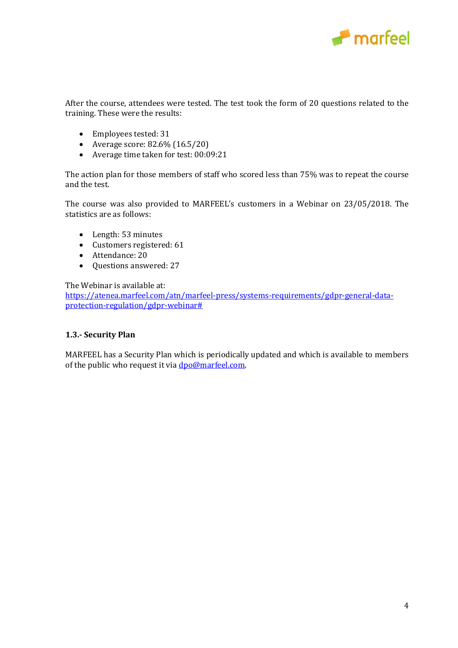

After the course, attendees were tested. The test took the form of 20 questions related to the training. These were the results:

- Employees tested: 31
- Average score: 82.6% (16.5/20)
- Average time taken for test: 00:09:21

The action plan for those members of staff who scored less than 75% was to repeat the course and the test.

The course was also provided to MARFEEL's customers in a Webinar on 23/05/2018. The statistics are as follows:

- Length: 53 minutes
- Customers registered: 61
- Attendance: 20
- Questions answered: 27

The Webinar is available at:

[https://atenea.marfeel.com/atn/marfeel-press/systems-requirements/gdpr-general-data](https://atenea.marfeel.com/atn/marfeel-press/systems-requirements/gdpr-general-data-protection-regulation/gdpr-webinar#)[protection-regulation/gdpr-webinar#](https://atenea.marfeel.com/atn/marfeel-press/systems-requirements/gdpr-general-data-protection-regulation/gdpr-webinar#)

#### **1.3.- Security Plan**

MARFEEL has a Security Plan which is periodically updated and which is available to members of the public who request it via dpo@marfeel.com.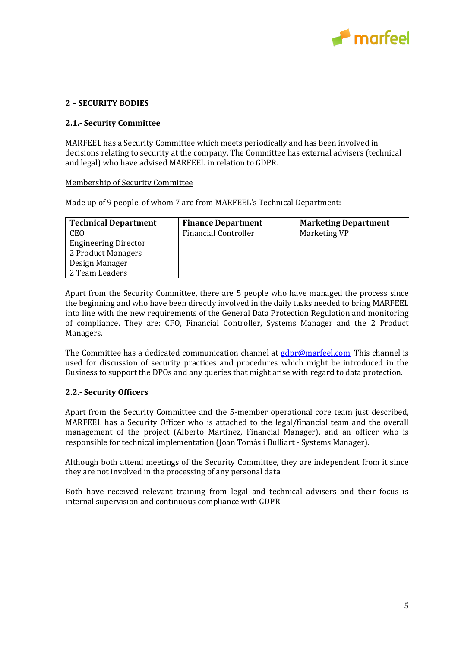

## <span id="page-5-0"></span>**2 – SECURITY BODIES**

#### **2.1.- Security Committee**

MARFEEL has a Security Committee which meets periodically and has been involved in decisions relating to security at the company. The Committee has external advisers (technical and legal) who have advised MARFEEL in relation to GDPR.

#### Membership of Security Committee

Made up of 9 people, of whom 7 are from MARFEEL's Technical Department:

| <b>Technical Department</b> | <b>Finance Department</b>   | <b>Marketing Department</b> |
|-----------------------------|-----------------------------|-----------------------------|
| CEO                         | <b>Financial Controller</b> | Marketing VP                |
| <b>Engineering Director</b> |                             |                             |
| 2 Product Managers          |                             |                             |
| Design Manager              |                             |                             |
| 2 Team Leaders              |                             |                             |

Apart from the Security Committee, there are 5 people who have managed the process since the beginning and who have been directly involved in the daily tasks needed to bring MARFEEL into line with the new requirements of the General Data Protection Regulation and monitoring of compliance. They are: CFO, Financial Controller, Systems Manager and the 2 Product Managers.

The Committee has a dedicated communication channel at [gdpr@marfeel.com.](gdpr@marfeel.com) This channel is used for discussion of security practices and procedures which might be introduced in the Business to support the DPOs and any queries that might arise with regard to data protection.

#### **2.2.- Security Officers**

Apart from the Security Committee and the 5-member operational core team just described, MARFEEL has a Security Officer who is attached to the legal/financial team and the overall management of the project (Alberto Martínez, Financial Manager), and an officer who is responsible for technical implementation (Joan Tomàs i Bulliart - Systems Manager).

Although both attend meetings of the Security Committee, they are independent from it since they are not involved in the processing of any personal data.

Both have received relevant training from legal and technical advisers and their focus is internal supervision and continuous compliance with GDPR.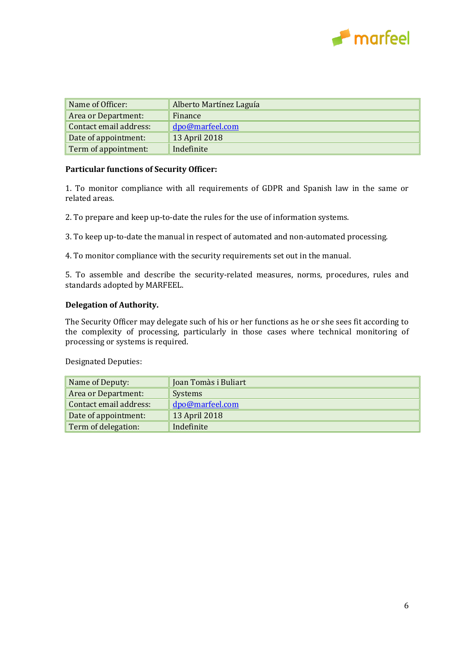

| Name of Officer:       | Alberto Martínez Laguía |
|------------------------|-------------------------|
| Area or Department:    | Finance                 |
| Contact email address: | dpo@marfeel.com         |
| Date of appointment:   | 13 April 2018           |
| Term of appointment:   | Indefinite              |

#### **Particular functions of Security Officer:**

1. To monitor compliance with all requirements of GDPR and Spanish law in the same or related areas.

2. To prepare and keep up-to-date the rules for the use of information systems.

3. To keep up-to-date the manual in respect of automated and non-automated processing.

4. To monitor compliance with the security requirements set out in the manual.

5. To assemble and describe the security-related measures, norms, procedures, rules and standards adopted by MARFEEL.

#### **Delegation of Authority.**

The Security Officer may delegate such of his or her functions as he or she sees fit according to the complexity of processing, particularly in those cases where technical monitoring of processing or systems is required.

Designated Deputies:

| Name of Deputy:        | Joan Tomàs i Buliart |
|------------------------|----------------------|
| Area or Department:    | Systems              |
| Contact email address: | dpo@marfeel.com      |
| Date of appointment:   | 13 April 2018        |
| Term of delegation:    | Indefinite           |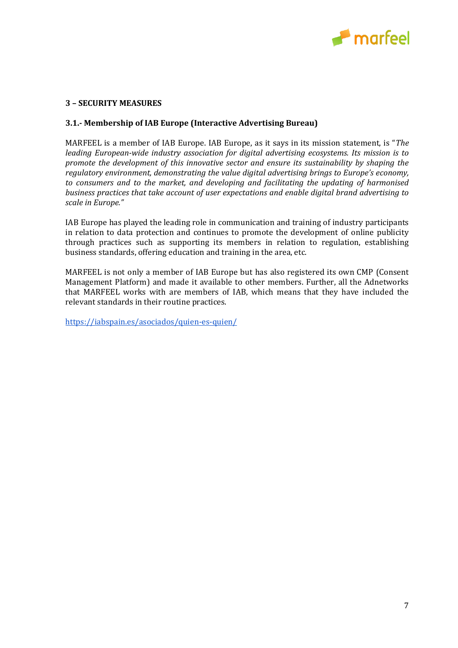

#### <span id="page-7-0"></span>**3 – SECURITY MEASURES**

#### **3.1.- Membership of IAB Europe (Interactive Advertising Bureau)**

MARFEEL is a member of IAB Europe. IAB Europe, as it says in its mission statement, is "*The leading European-wide industry association for digital advertising ecosystems. Its mission is to promote the development of this innovative sector and ensure its sustainability by shaping the regulatory environment, demonstrating the value digital advertising brings to Europe's economy, to consumers and to the market, and developing and facilitating the updating of harmonised business practices that take account of user expectations and enable digital brand advertising to scale in Europe."*

IAB Europe has played the leading role in communication and training of industry participants in relation to data protection and continues to promote the development of online publicity through practices such as supporting its members in relation to regulation, establishing business standards, offering education and training in the area, etc.

MARFEEL is not only a member of IAB Europe but has also registered its own CMP (Consent Management Platform) and made it available to other members. Further, all the Adnetworks that MARFEEL works with are members of IAB, which means that they have included the relevant standards in their routine practices.

<https://iabspain.es/asociados/quien-es-quien/>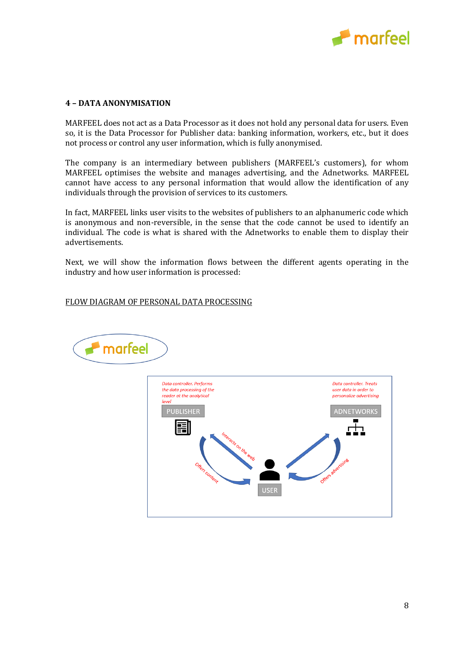

#### <span id="page-8-0"></span>**4 – DATA ANONYMISATION**

MARFEEL does not act as a Data Processor as it does not hold any personal data for users. Even so, it is the Data Processor for Publisher data: banking information, workers, etc., but it does not process or control any user information, which is fully anonymised.

The company is an intermediary between publishers (MARFEEL's customers), for whom MARFEEL optimises the website and manages advertising, and the Adnetworks. MARFEEL cannot have access to any personal information that would allow the identification of any individuals through the provision of services to its customers.

In fact, MARFEEL links user visits to the websites of publishers to an alphanumeric code which is anonymous and non-reversible, in the sense that the code cannot be used to identify an individual. The code is what is shared with the Adnetworks to enable them to display their advertisements.

Next, we will show the information flows between the different agents operating in the industry and how user information is processed:

FLOW DIAGRAM OF PERSONAL DATA PROCESSING



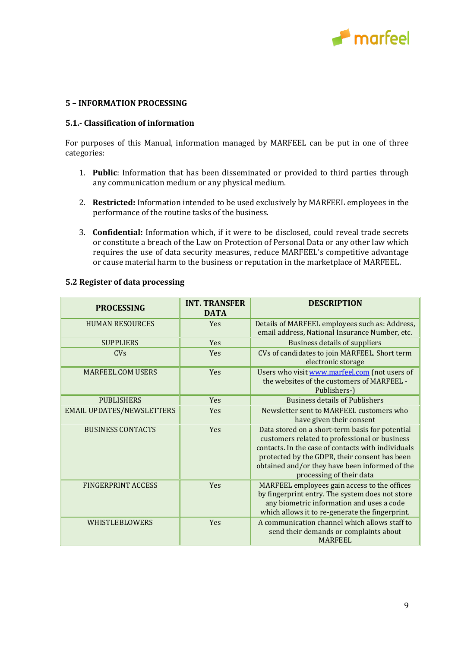

#### <span id="page-9-0"></span>**5 – INFORMATION PROCESSING**

## **5.1.- Classification of information**

For purposes of this Manual, information managed by MARFEEL can be put in one of three categories:

- 1. **Public**: Information that has been disseminated or provided to third parties through any communication medium or any physical medium.
- 2. **Restricted:** Information intended to be used exclusively by MARFEEL employees in the performance of the routine tasks of the business.
- 3. **Confidential:** Information which, if it were to be disclosed, could reveal trade secrets or constitute a breach of the Law on Protection of Personal Data or any other law which requires the use of data security measures, reduce MARFEEL's competitive advantage or cause material harm to the business or reputation in the marketplace of MARFEEL.

| <b>PROCESSING</b>                | <b>INT. TRANSFER</b><br><b>DATA</b> | <b>DESCRIPTION</b>                                                                                                                                                                                                                                                                    |
|----------------------------------|-------------------------------------|---------------------------------------------------------------------------------------------------------------------------------------------------------------------------------------------------------------------------------------------------------------------------------------|
| <b>HUMAN RESOURCES</b>           | <b>Yes</b>                          | Details of MARFEEL employees such as: Address,<br>email address, National Insurance Number, etc.                                                                                                                                                                                      |
| <b>SUPPLIERS</b>                 | <b>Yes</b>                          | <b>Business details of suppliers</b>                                                                                                                                                                                                                                                  |
| CVs                              | <b>Yes</b>                          | CVs of candidates to join MARFEEL. Short term<br>electronic storage                                                                                                                                                                                                                   |
| <b>MARFEEL COM USERS</b>         | <b>Yes</b>                          | Users who visit www.marfeel.com (not users of<br>the websites of the customers of MARFEEL -<br>Publishers-)                                                                                                                                                                           |
| <b>PUBLISHERS</b>                | Yes                                 | <b>Business details of Publishers</b>                                                                                                                                                                                                                                                 |
| <b>EMAIL UPDATES/NEWSLETTERS</b> | Yes                                 | Newsletter sent to MARFEEL customers who<br>have given their consent                                                                                                                                                                                                                  |
| <b>BUSINESS CONTACTS</b>         | <b>Yes</b>                          | Data stored on a short-term basis for potential<br>customers related to professional or business<br>contacts. In the case of contacts with individuals<br>protected by the GDPR, their consent has been<br>obtained and/or they have been informed of the<br>processing of their data |
| <b>FINGERPRINT ACCESS</b>        | <b>Yes</b>                          | MARFEEL employees gain access to the offices<br>by fingerprint entry. The system does not store<br>any biometric information and uses a code<br>which allows it to re-generate the fingerprint.                                                                                       |
| <b>WHISTLEBLOWERS</b>            | <b>Yes</b>                          | A communication channel which allows staff to<br>send their demands or complaints about<br><b>MARFEEL</b>                                                                                                                                                                             |

#### **5.2 Register of data processing**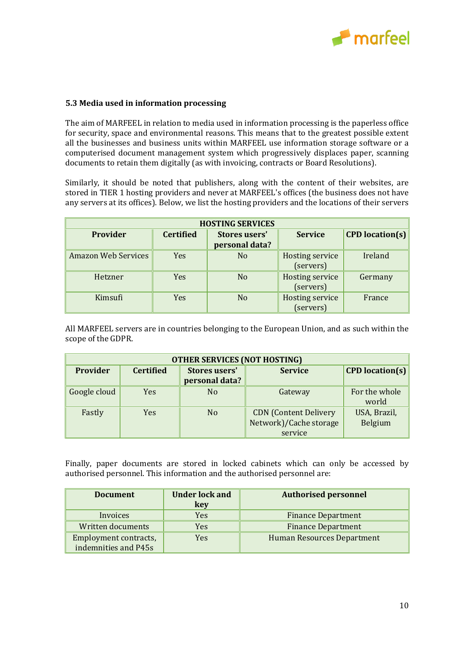

#### **5.3 Media used in information processing**

The aim of MARFEEL in relation to media used in information processing is the paperless office for security, space and environmental reasons. This means that to the greatest possible extent all the businesses and business units within MARFEEL use information storage software or a computerised document management system which progressively displaces paper, scanning documents to retain them digitally (as with invoicing, contracts or Board Resolutions).

Similarly, it should be noted that publishers, along with the content of their websites, are stored in TIER 1 hosting providers and never at MARFEEL's offices (the business does not have any servers at its offices). Below, we list the hosting providers and the locations of their servers

| <b>HOSTING SERVICES</b>    |                  |                                        |                 |                        |
|----------------------------|------------------|----------------------------------------|-----------------|------------------------|
| Provider                   | <b>Certified</b> | <b>Stores users'</b><br><b>Service</b> |                 | <b>CPD</b> location(s) |
|                            |                  | personal data?                         |                 |                        |
| <b>Amazon Web Services</b> | Yes              | N <sub>o</sub>                         | Hosting service | Ireland                |
|                            |                  |                                        | (servers)       |                        |
| Hetzner                    | Yes              | N <sub>o</sub>                         | Hosting service | Germany                |
|                            |                  |                                        | (servers)       |                        |
| Kimsufi                    | Yes              | N <sub>o</sub>                         | Hosting service | France                 |
|                            |                  |                                        | (servers)       |                        |

All MARFEEL servers are in countries belonging to the European Union, and as such within the scope of the GDPR.

| <b>OTHER SERVICES (NOT HOSTING)</b> |                  |                                        |                                                                   |                         |
|-------------------------------------|------------------|----------------------------------------|-------------------------------------------------------------------|-------------------------|
| Provider                            | <b>Certified</b> | <b>Stores users'</b><br>personal data? | <b>Service</b>                                                    | <b>CPD</b> location(s)  |
| Google cloud                        | <b>Yes</b>       | N <sub>0</sub>                         | Gateway                                                           | For the whole<br>world  |
| Fastly                              | <b>Yes</b>       | N <sub>o</sub>                         | <b>CDN</b> (Content Delivery<br>Network)/Cache storage<br>service | USA, Brazil,<br>Belgium |

Finally, paper documents are stored in locked cabinets which can only be accessed by authorised personnel. This information and the authorised personnel are:

| <b>Document</b>       | <b>Under lock and</b><br>key | <b>Authorised personnel</b>       |
|-----------------------|------------------------------|-----------------------------------|
| Invoices              | Yes                          | <b>Finance Department</b>         |
| Written documents     | Yes                          | <b>Finance Department</b>         |
| Employment contracts, | Yes                          | <b>Human Resources Department</b> |
| indemnities and P45s  |                              |                                   |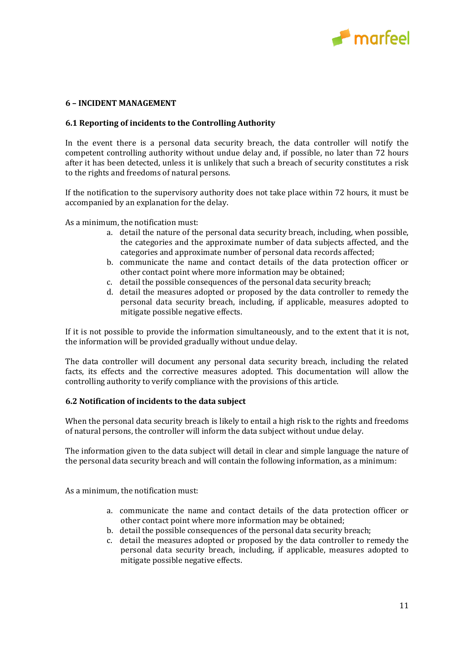

#### <span id="page-11-0"></span>**6 – INCIDENT MANAGEMENT**

#### **6.1 Reporting of incidents to the Controlling Authority**

In the event there is a personal data security breach, the data controller will notify the competent controlling authority without undue delay and, if possible, no later than 72 hours after it has been detected, unless it is unlikely that such a breach of security constitutes a risk to the rights and freedoms of natural persons.

If the notification to the supervisory authority does not take place within 72 hours, it must be accompanied by an explanation for the delay.

As a minimum, the notification must:

- a. detail the nature of the personal data security breach, including, when possible, the categories and the approximate number of data subjects affected, and the categories and approximate number of personal data records affected;
- b. communicate the name and contact details of the data protection officer or other contact point where more information may be obtained;
- c. detail the possible consequences of the personal data security breach;
- d. detail the measures adopted or proposed by the data controller to remedy the personal data security breach, including, if applicable, measures adopted to mitigate possible negative effects.

If it is not possible to provide the information simultaneously, and to the extent that it is not, the information will be provided gradually without undue delay.

The data controller will document any personal data security breach, including the related facts, its effects and the corrective measures adopted. This documentation will allow the controlling authority to verify compliance with the provisions of this article.

#### **6.2 Notification of incidents to the data subject**

When the personal data security breach is likely to entail a high risk to the rights and freedoms of natural persons, the controller will inform the data subject without undue delay.

The information given to the data subject will detail in clear and simple language the nature of the personal data security breach and will contain the following information, as a minimum:

As a minimum, the notification must:

- a. communicate the name and contact details of the data protection officer or other contact point where more information may be obtained;
- b. detail the possible consequences of the personal data security breach;
- c. detail the measures adopted or proposed by the data controller to remedy the personal data security breach, including, if applicable, measures adopted to mitigate possible negative effects.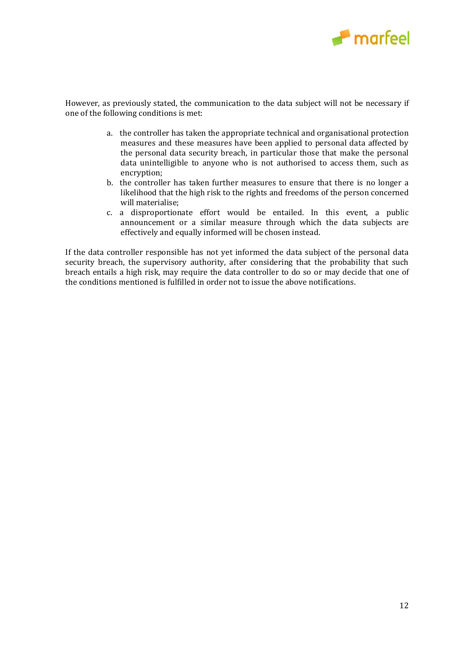

However, as previously stated, the communication to the data subject will not be necessary if one of the following conditions is met:

- a. the controller has taken the appropriate technical and organisational protection measures and these measures have been applied to personal data affected by the personal data security breach, in particular those that make the personal data unintelligible to anyone who is not authorised to access them, such as encryption;
- b. the controller has taken further measures to ensure that there is no longer a likelihood that the high risk to the rights and freedoms of the person concerned will materialise;
- c. a disproportionate effort would be entailed. In this event, a public announcement or a similar measure through which the data subjects are effectively and equally informed will be chosen instead.

If the data controller responsible has not yet informed the data subject of the personal data security breach, the supervisory authority, after considering that the probability that such breach entails a high risk, may require the data controller to do so or may decide that one of the conditions mentioned is fulfilled in order not to issue the above notifications.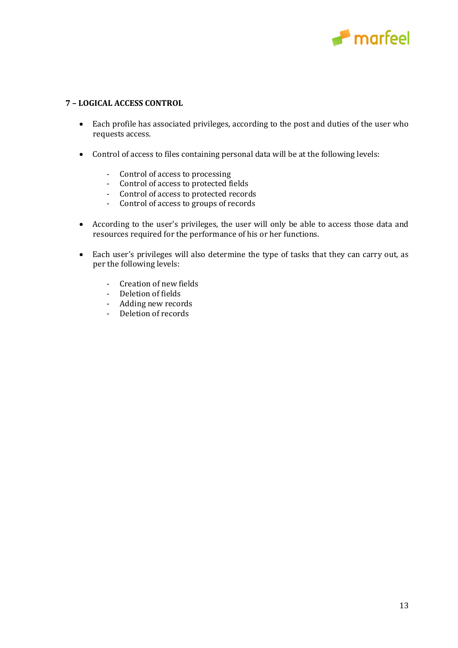

## <span id="page-13-0"></span>**7 – LOGICAL ACCESS CONTROL**

- Each profile has associated privileges, according to the post and duties of the user who requests access.
- Control of access to files containing personal data will be at the following levels:
	- Control of access to processing
	- Control of access to protected fields
	- Control of access to protected records
	- Control of access to groups of records
- According to the user's privileges, the user will only be able to access those data and resources required for the performance of his or her functions.
- Each user's privileges will also determine the type of tasks that they can carry out, as per the following levels:
	- Creation of new fields
	- Deletion of fields
	- Adding new records
	- Deletion of records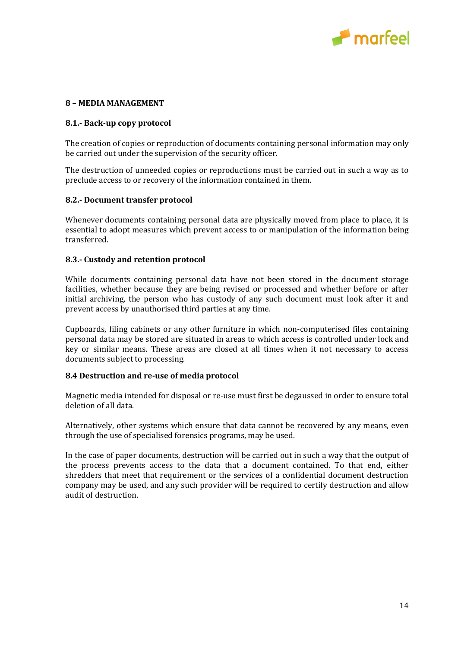

#### <span id="page-14-0"></span>**8 – MEDIA MANAGEMENT**

#### **8.1.- Back-up copy protocol**

The creation of copies or reproduction of documents containing personal information may only be carried out under the supervision of the security officer.

The destruction of unneeded copies or reproductions must be carried out in such a way as to preclude access to or recovery of the information contained in them.

#### **8.2.- Document transfer protocol**

Whenever documents containing personal data are physically moved from place to place, it is essential to adopt measures which prevent access to or manipulation of the information being transferred.

#### **8.3.- Custody and retention protocol**

While documents containing personal data have not been stored in the document storage facilities, whether because they are being revised or processed and whether before or after initial archiving, the person who has custody of any such document must look after it and prevent access by unauthorised third parties at any time.

Cupboards, filing cabinets or any other furniture in which non-computerised files containing personal data may be stored are situated in areas to which access is controlled under lock and key or similar means. These areas are closed at all times when it not necessary to access documents subject to processing.

#### **8.4 Destruction and re-use of media protocol**

Magnetic media intended for disposal or re-use must first be degaussed in order to ensure total deletion of all data.

Alternatively, other systems which ensure that data cannot be recovered by any means, even through the use of specialised forensics programs, may be used.

In the case of paper documents, destruction will be carried out in such a way that the output of the process prevents access to the data that a document contained. To that end, either shredders that meet that requirement or the services of a confidential document destruction company may be used, and any such provider will be required to certify destruction and allow audit of destruction.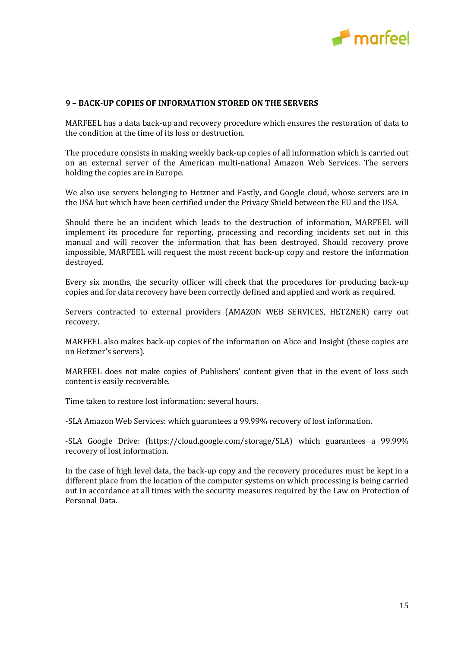

#### <span id="page-15-0"></span>**9 – BACK-UP COPIES OF INFORMATION STORED ON THE SERVERS**

MARFEEL has a data back-up and recovery procedure which ensures the restoration of data to the condition at the time of its loss or destruction.

The procedure consists in making weekly back-up copies of all information which is carried out on an external server of the American multi-national Amazon Web Services. The servers holding the copies are in Europe.

We also use servers belonging to Hetzner and Fastly, and Google cloud, whose servers are in the USA but which have been certified under the Privacy Shield between the EU and the USA.

Should there be an incident which leads to the destruction of information, MARFEEL will implement its procedure for reporting, processing and recording incidents set out in this manual and will recover the information that has been destroyed. Should recovery prove impossible, MARFEEL will request the most recent back-up copy and restore the information destroyed.

Every six months, the security officer will check that the procedures for producing back-up copies and for data recovery have been correctly defined and applied and work as required.

Servers contracted to external providers (AMAZON WEB SERVICES, HETZNER) carry out recovery.

MARFEEL also makes back-up copies of the information on Alice and Insight (these copies are on Hetzner's servers).

MARFEEL does not make copies of Publishers' content given that in the event of loss such content is easily recoverable.

Time taken to restore lost information: several hours.

-SLA Amazon Web Services: which guarantees a 99.99% recovery of lost information.

-SLA Google Drive: (https://cloud.google.com/storage/SLA) which guarantees a 99.99% recovery of lost information.

In the case of high level data, the back-up copy and the recovery procedures must be kept in a different place from the location of the computer systems on which processing is being carried out in accordance at all times with the security measures required by the Law on Protection of Personal Data.